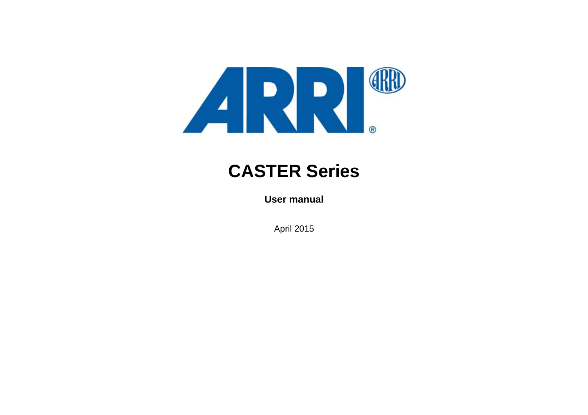

# **CASTER Series**

**User manual**

April 2015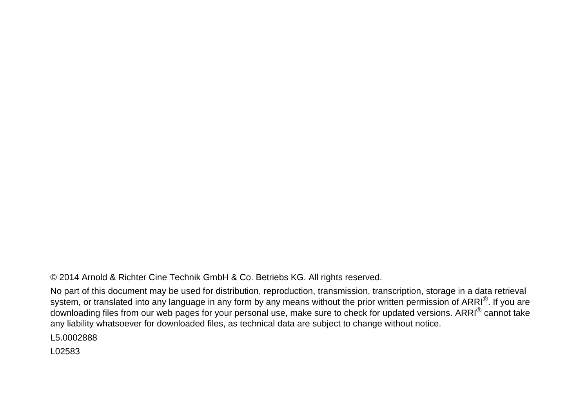© 2014 Arnold & Richter Cine Technik GmbH & Co. Betriebs KG. All rights reserved.

No part of this document may be used for distribution, reproduction, transmission, transcription, storage in a data retrieval system, or translated into any language in any form by any means without the prior written permission of ARRI<sup>®</sup>. If you are downloading files from our web pages for your personal use, make sure to check for updated versions. ARRI<sup>®</sup> cannot take any liability whatsoever for downloaded files, as technical data are subject to change without notice.

L5.0002888

L02583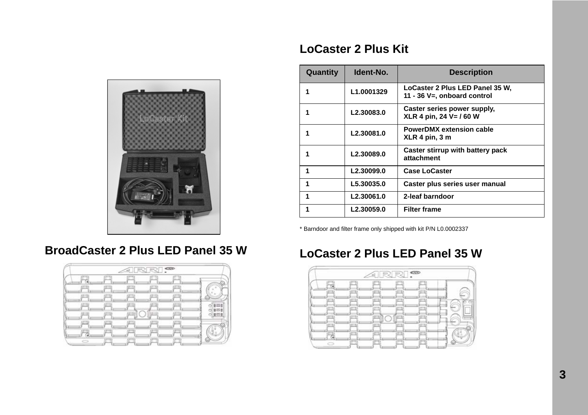

### **LoCaster 2 Plus Kit**

| Quantity | Ident-No.              | <b>Description</b>                                             |
|----------|------------------------|----------------------------------------------------------------|
|          | L1.0001329             | LoCaster 2 Plus LED Panel 35 W,<br>11 - 36 V=, onboard control |
|          | L2.30083.0             | Caster series power supply,<br>XLR 4 pin, 24 V= / 60 W         |
|          | L2.30081.0             | <b>PowerDMX extension cable</b><br>XLR 4 pin, 3 m              |
|          | L2.30089.0             | Caster stirrup with battery pack<br>attachment                 |
| 1        | L2.30099.0             | <b>Case LoCaster</b>                                           |
| 1        | L5.30035.0             | Caster plus series user manual                                 |
| 1        | L2.30061.0             | 2-leaf barndoor                                                |
|          | L <sub>2.30059.0</sub> | <b>Filter frame</b>                                            |

\* Barndoor and filter frame only shipped with kit P/N L0.0002337

### **BroadCaster 2 Plus LED Panel 35 W**



### **LoCaster 2 Plus LED Panel 35 W**

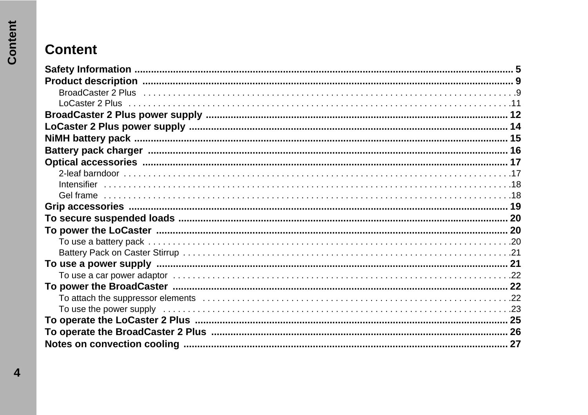# **Content**

| BroadCaster 2 Plus in the continuum of the control of the control of the control of the control of the control o |  |
|------------------------------------------------------------------------------------------------------------------|--|
|                                                                                                                  |  |
|                                                                                                                  |  |
|                                                                                                                  |  |
|                                                                                                                  |  |
|                                                                                                                  |  |
|                                                                                                                  |  |
|                                                                                                                  |  |
|                                                                                                                  |  |
|                                                                                                                  |  |
|                                                                                                                  |  |
|                                                                                                                  |  |
|                                                                                                                  |  |
|                                                                                                                  |  |
|                                                                                                                  |  |
|                                                                                                                  |  |
|                                                                                                                  |  |
|                                                                                                                  |  |
|                                                                                                                  |  |
|                                                                                                                  |  |
|                                                                                                                  |  |
|                                                                                                                  |  |
|                                                                                                                  |  |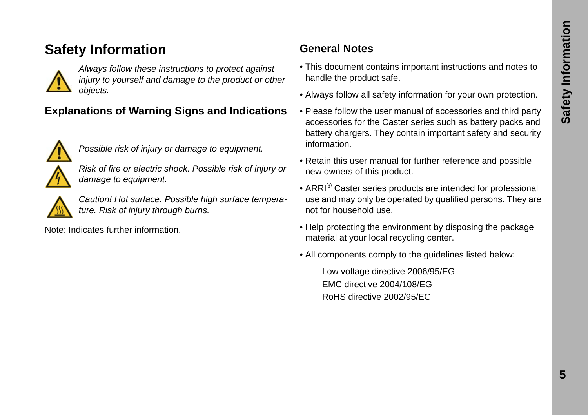### <span id="page-4-0"></span>**Safety Information**



*Always follow these instructions to protect against injury to yourself and damage to the product or other objects.*

### **Explanations of Warning Signs and Indications**



*Possible risk of injury or damage to equipment.*

*Risk of fire or electric shock. Possible risk of injury or damage to equipment.*



*Caution! Hot surface. Possible high surface temperature. Risk of injury through burns.*

Note: Indicates further information.

### **General Notes**

- This document contains important instructions and notes to handle the product safe.
- Always follow all safety information for your own protection.
- Please follow the user manual of accessories and third party accessories for the Caster series such as battery packs and battery chargers. They contain important safety and security information.
- Retain this user manual for further reference and possible new owners of this product.
- ARRI<sup>®</sup> Caster series products are intended for professional use and may only be operated by qualified persons. They are not for household use.
- Help protecting the environment by disposing the package material at your local recycling center.
- All components comply to the guidelines listed below:

Low voltage directive 2006/95/EG EMC directive 2004/108/EG RoHS directive 2002/95/EG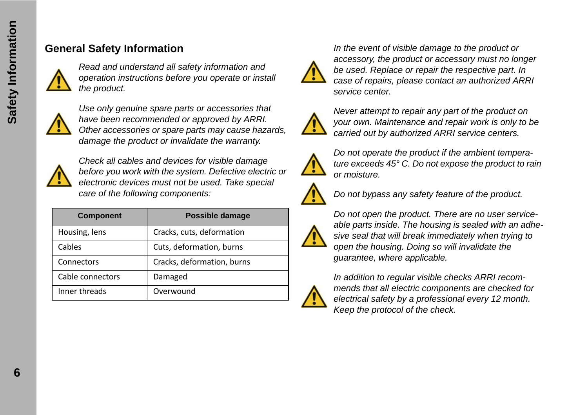### **General Safety Information**



*Read and understand all safety information and operation instructions before you operate or install the product.*



*Use only genuine spare parts or accessories that have been recommended or approved by ARRI. Other accessories or spare parts may cause hazards, damage the product or invalidate the warranty.*



*Check all cables and devices for visible damage before you work with the system. Defective electric or electronic devices must not be used. Take special care of the following components:*

| <b>Component</b> | Possible damage            |
|------------------|----------------------------|
| Housing, lens    | Cracks, cuts, deformation  |
| Cables           | Cuts, deformation, burns   |
| Connectors       | Cracks, deformation, burns |
| Cable connectors | Damaged                    |
| Inner threads    | Overwound                  |



*In the event of visible damage to the product or accessory, the product or accessory must no longer be used. Replace or repair the respective part. In case of repairs, please contact an authorized ARRI service center.*



*Never attempt to repair any part of the product on your own. Maintenance and repair work is only to be carried out by authorized ARRI service centers.*



*Do not operate the product if the ambient temperature exceeds 45° C. Do not expose the product to rain or moisture.*



*Do not bypass any safety feature of the product.*



*Do not open the product. There are no user serviceable parts inside. The housing is sealed with an adhesive seal that will break immediately when trying to open the housing. Doing so will invalidate the guarantee, where applicable.*

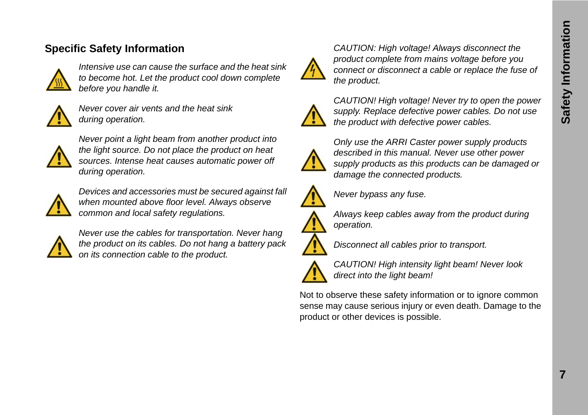### **Specific Safety Information**



*Intensive use can cause the surface and the heat sink to become hot. Let the product cool down complete before you handle it.*



*Never cover air vents and the heat sink during operation.* 



*Never point a light beam from another product into the light source. Do not place the product on heat sources. Intense heat causes automatic power off during operation.*



*Devices and accessories must be secured against fall when mounted above floor level. Always observe common and local safety regulations.*



*Never use the cables for transportation. Never hang the product on its cables. Do not hang a battery pack on its connection cable to the product.*



*CAUTION: High voltage! Always disconnect the product complete from mains voltage before you connect or disconnect a cable or replace the fuse of the product.*



*CAUTION! High voltage! Never try to open the power supply. Replace defective power cables. Do not use the product with defective power cables.*



*Only use the ARRI Caster power supply products described in this manual. Never use other power supply products as this products can be damaged or damage the connected products.*



*Never bypass any fuse.*



*Always keep cables away from the product during operation.*



*Disconnect all cables prior to transport.*



*CAUTION! High intensity light beam! Never look direct into the light beam!*

Not to observe these safety information or to ignore common sense may cause serious injury or even death. Damage to the product or other devices is possible.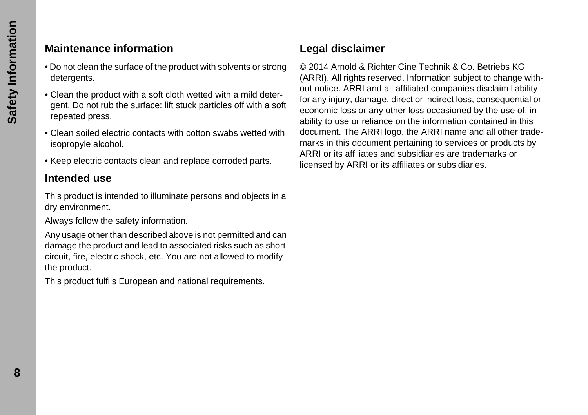### **Maintenance information**

- Do not clean the surface of the product with solvents or strong detergents.
- Clean the product with a soft cloth wetted with a mild detergent. Do not rub the surface: lift stuck particles off with a soft repeated press.
- Clean soiled electric contacts with cotton swabs wetted with isopropyle alcohol.
- Keep electric contacts clean and replace corroded parts.

### **Intended use**

This product is intended to illuminate persons and objects in a dry environment.

Always follow the safety information.

Any usage other than described above is not permitted and can damage the product and lead to associated risks such as shortcircuit, fire, electric shock, etc. You are not allowed to modify the product.

This product fulfils European and national requirements.

### **Legal disclaimer**

© 2014 Arnold & Richter Cine Technik & Co. Betriebs KG (ARRI). All rights reserved. Information subject to change without notice. ARRI and all affiliated companies disclaim liability for any injury, damage, direct or indirect loss, consequential or economic loss or any other loss occasioned by the use of, inability to use or reliance on the information contained in this document. The ARRI logo, the ARRI name and all other trademarks in this document pertaining to services or products by ARRI or its affiliates and subsidiaries are trademarks or licensed by ARRI or its affiliates or subsidiaries.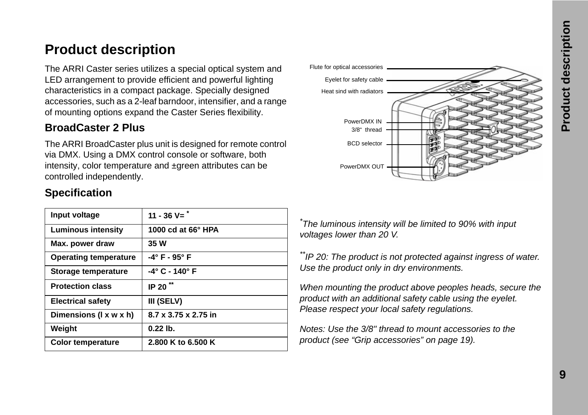### **Product description**

The ARRI Caster series utilizes a special optical system and LED arrangement to provide efficient and powerful lighting characteristics in a compact package. Specially designed accessories, such as a 2-leaf barndoor, intensifier, and a range of mounting options expand the Caster Series flexibility.

### **BroadCaster 2 Plus**

The ARRI BroadCaster plus unit is designed for remote control via DMX. Using a DMX control console or software, both intensity, color temperature and ±green attributes can be controlled independently.

| Input voltage                | 11 - 36 $V =$ <sup>*</sup>   |
|------------------------------|------------------------------|
| <b>Luminous intensity</b>    | 1000 cd at $66^\circ$ HPA    |
| Max. power draw              | 35 W                         |
| <b>Operating temperature</b> | $-4^\circ$ F - 95 $^\circ$ F |
| Storage temperature          | -4° C - 140° F               |
| <b>Protection class</b>      | IP 20 <sup>**</sup>          |
| <b>Electrical safety</b>     | III (SELV)                   |
| Dimensions (I x w x h)       | 8.7 x 3.75 x 2.75 in         |
| Weight                       | $0.22$ lb.                   |
| <b>Color temperature</b>     | 2.800 K to 6.500 K           |

### **Specification**



*\* The luminous intensity will be limited to 90% with input voltages lower than 20 V.*

*\*\*IP 20: The product is not protected against ingress of water. Use the product only in dry environments.*

*When mounting the product above peoples heads, secure the product with an additional safety cable using the eyelet. Please respect your local safety regulations.*

*Notes: Use the 3/8" thread to mount accessories to the product (see ["Grip accessories" on page 19\)](#page-18-0).*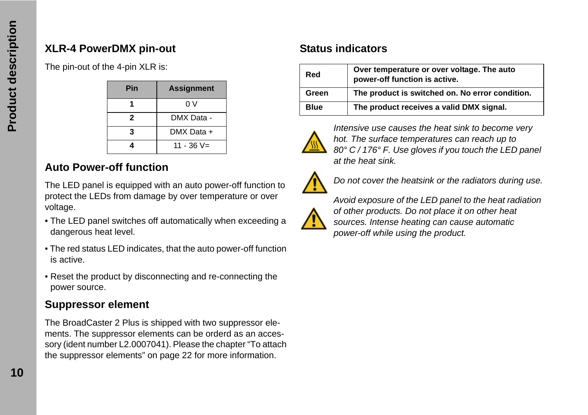### **XLR-4 PowerDMX pin-out**

The pin-out of the 4-pin XLR is:

| Pin | <b>Assignment</b> |
|-----|-------------------|
|     | 0 V               |
| 2   | DMX Data -        |
|     | DMX Data +        |
|     | $11 - 36 V =$     |

### **Auto Power-off function**

The LED panel is equipped with an auto power-off function to protect the LEDs from damage by over temperature or over voltage.

- The LED panel switches off automatically when exceeding a dangerous heat level.
- The red status LED indicates, that the auto power-off function is active.
- Reset the product by disconnecting and re-connecting the power source.

### **Suppressor element**

The BroadCaster 2 Plus is shipped with two suppressor elements. The suppressor elements can be orderd as an accessory (ident number L2.0007041). Please the chapter ["To attach](#page-21-0)  [the suppressor elements" on page 22](#page-21-0) for more information.

### **Status indicators**

| Red         | Over temperature or over voltage. The auto<br>power-off function is active. |
|-------------|-----------------------------------------------------------------------------|
| Green       | The product is switched on. No error condition.                             |
| <b>Blue</b> | The product receives a valid DMX signal.                                    |



*Intensive use causes the heat sink to become very hot. The surface temperatures can reach up to 80° C / 176° F. Use gloves if you touch the LED panel at the heat sink.*



*Do not cover the heatsink or the radiators during use.*



*Avoid exposure of the LED panel to the heat radiation of other products. Do not place it on other heat sources. Intense heating can cause automatic power-off while using the product.*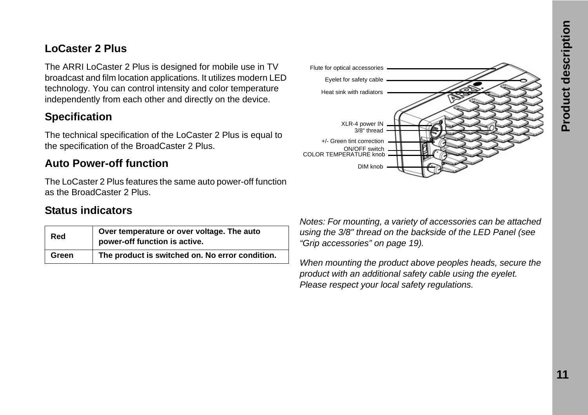### **LoCaster 2 Plus**

The ARRI LoCaster 2 Plus is designed for mobile use in TV broadcast and film location applications. It utilizes modern LED technology. You can control intensity and color temperature independently from each other and directly on the device.

### **Specification**

The technical specification of the LoCaster 2 Plus is equal to the specification of the BroadCaster 2 Plus.

### **Auto Power-off function**

The LoCaster 2 Plus features the same auto power-off function as the BroadCaster 2 Plus.

#### **Status indicators**

| Red   | Over temperature or over voltage. The auto<br>power-off function is active. |
|-------|-----------------------------------------------------------------------------|
| Green | The product is switched on. No error condition.                             |



*Notes: For mounting, a variety of accessories can be attached using the 3/8" thread on the backside of the LED Panel (see ["Grip accessories" on page 19\)](#page-18-0).*

*When mounting the product above peoples heads, secure the product with an additional safety cable using the eyelet. Please respect your local safety regulations.*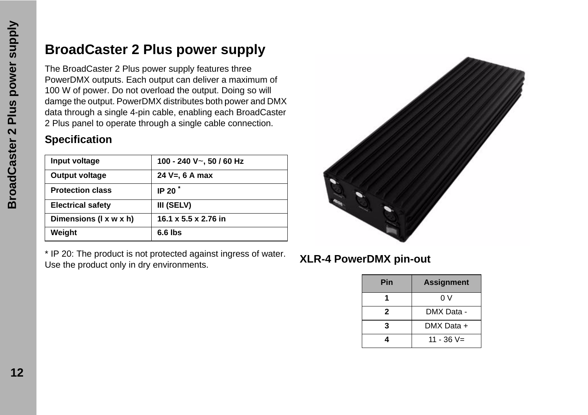## <span id="page-11-0"></span>**BroadCaster 2 Plus power supply**

The BroadCaster 2 Plus power supply features three PowerDMX outputs. Each output can deliver a maximum of 100 W of power. Do not overload the output. Doing so will damge the output. PowerDMX distributes both power and DMX data through a single 4-pin cable, enabling each BroadCaster 2 Plus panel to operate through a single cable connection.

### **Specification**

| Input voltage            | 100 - 240 V~, 50 / 60 Hz |
|--------------------------|--------------------------|
| <b>Output voltage</b>    | 24 $V = 6$ A max         |
| <b>Protection class</b>  | IP 20 $^*$               |
| <b>Electrical safety</b> | III (SELV)               |
| Dimensions (I x w x h)   | 16.1 x 5.5 x 2.76 in     |
| Weight                   | $6.6$ lbs                |

\* IP 20: The product is not protected against ingress of water. The product is not protected against ingless of water.<br>Use the product only in dry environments.



| Pin | <b>Assignment</b> |
|-----|-------------------|
|     | 0 V               |
| 2   | DMX Data -        |
| 3   | DMX Data +        |
|     | $11 - 36 V =$     |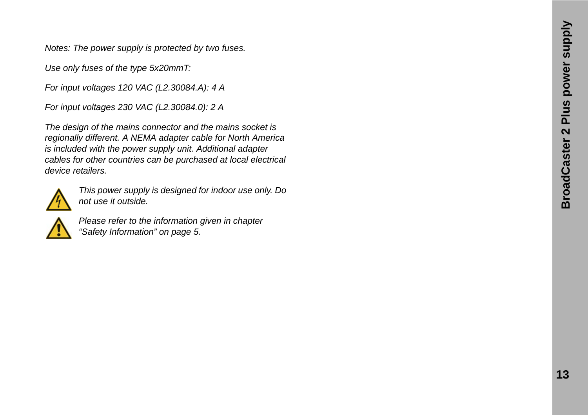*Notes: The power supply is protected by two fuses.*

*Use only fuses of the type 5x20mmT:*

*For input voltages 120 VAC (L2.30084.A): 4 A*

*For input voltages 230 VAC (L2.30084.0): 2 A*

*The design of the mains connector and the mains socket is regionally different. A NEMA adapter cable for North America is included with the power supply unit. Additional adapter cables for other countries can be purchased at local electrical device retailers.*



*This power supply is designed for indoor use only. Do not use it outside.*



*Please refer to the information given in chapter ["Safety Information" on page 5.](#page-4-0)*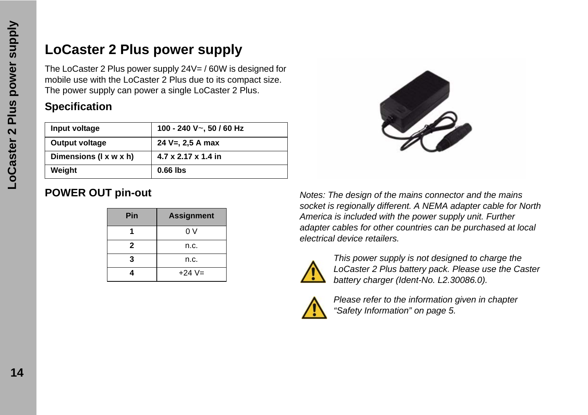### **LoCaster 2 Plus power supply**

The LoCaster 2 Plus power supply 24V= / 60W is designed for mobile use with the LoCaster 2 Plus due to its compact size. The power supply can power a single LoCaster 2 Plus.

### **Specification**

| Input voltage          | 100 - 240 V $\sim$ , 50 / 60 Hz |
|------------------------|---------------------------------|
| Output voltage         | 24 V=, 2,5 A max                |
| Dimensions (I x w x h) | 4.7 x 2.17 x 1.4 in             |
| Weight                 | $0.66$ lbs                      |

| Pin | <b>Assignment</b> |
|-----|-------------------|
|     | 0 V               |
| 2   | n.c.              |
| 3   | n.c.              |
|     | $+24V=$           |



**POWER OUT pin-out** *Notes: The design of the mains connector and the mains socket is regionally different. A NEMA adapter cable for North America is included with the power supply unit. Further adapter cables for other countries can be purchased at local electrical device retailers.*



*This power supply is not designed to charge the LoCaster 2 Plus battery pack. Please use the Caster battery charger (Ident-No. L2.30086.0).*



*Please refer to the information given in chapter ["Safety Information" on page 5.](#page-4-0)*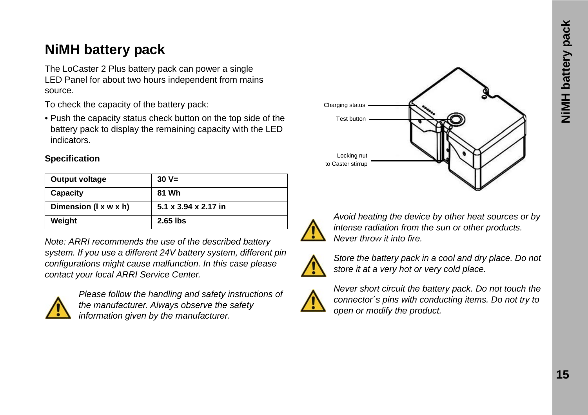## **NiMH battery pack**

The LoCaster 2 Plus battery pack can power a single LED Panel for about two hours independent from mains source.

To check the capacity of the battery pack:

• Push the capacity status check button on the top side of the battery pack to display the remaining capacity with the LED indicators.

#### **Specification**

| Output voltage        | $30 V =$             |
|-----------------------|----------------------|
| Capacity              | 81 Wh                |
| Dimension (I x w x h) | 5.1 x 3.94 x 2.17 in |
| Weight                | 2.65 lbs             |

*Note: ARRI recommends the use of the described battery system. If you use a different 24V battery system, different pin configurations might cause malfunction. In this case please contact your local ARRI Service Center.*



*Please follow the handling and safety instructions of the manufacturer. Always observe the safety information given by the manufacturer.*





*Avoid heating the device by other heat sources or by intense radiation from the sun or other products. Never throw it into fire.*



*Store the battery pack in a cool and dry place. Do not store it at a very hot or very cold place.*



*Never short circuit the battery pack. Do not touch the connector´s pins with conducting items. Do not try to open or modify the product.*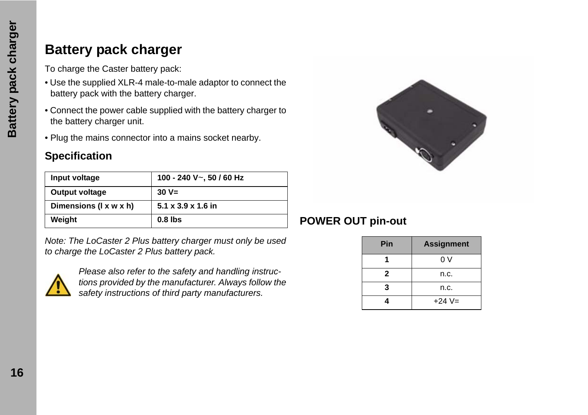### **Battery pack charger**

To charge the Caster battery pack:

- Use the supplied XLR-4 male-to-male adaptor to connect the battery pack with the battery charger.
- Connect the power cable supplied with the battery charger to the battery charger unit.
- Plug the mains connector into a mains socket nearby.

### **Specification**

| Input voltage          | 100 - 240 V~, 50 / 60 Hz       |
|------------------------|--------------------------------|
| Output voltage         | $30 V =$                       |
| Dimensions (I x w x h) | $5.1 \times 3.9 \times 1.6$ in |
| Weight                 | $0.8$ lbs                      |

*Note: The LoCaster 2 Plus battery charger must only be used to charge the LoCaster 2 Plus battery pack.*



*Please also refer to the safety and handling instructions provided by the manufacturer. Always follow the safety instructions of third party manufacturers.*



### **POWER OUT pin-out**

| Pin | <b>Assignment</b> |
|-----|-------------------|
|     | 0 V               |
| 2   | n.c.              |
| 3   | n.c.              |
| 4   | $+24V=$           |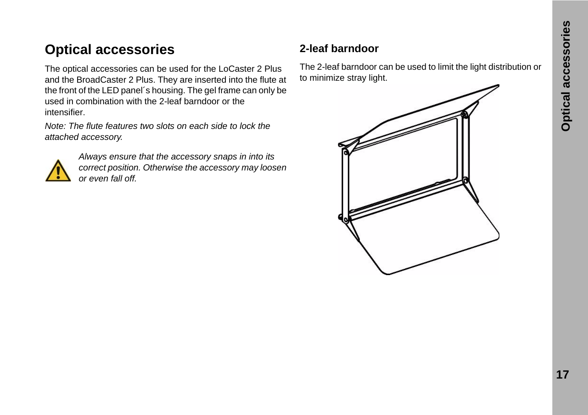## **Optical accessories**

The optical accessories can be used for the LoCaster 2 Plus and the BroadCaster 2 Plus. They are inserted into the flute at the front of the LED panel´s housing. The gel frame can only be used in combination with the 2-leaf barndoor or the intensifier.

*Note: The flute features two slots on each side to lock the attached accessory.*



*Always ensure that the accessory snaps in into its correct position. Otherwise the accessory may loosen or even fall off.*

### **2-leaf barndoor**

The 2-leaf barndoor can be used to limit the light distribution or to minimize stray light.

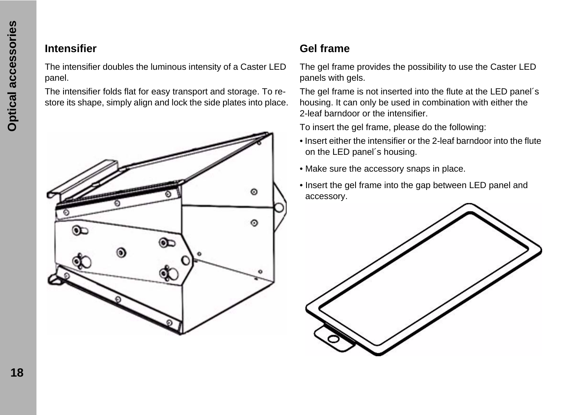### **Intensifier**

The intensifier doubles the luminous intensity of a Caster LED panel.

The intensifier folds flat for easy transport and storage. To restore its shape, simply align and lock the side plates into place.



### **Gel frame**

The gel frame provides the possibility to use the Caster LED panels with gels.

The gel frame is not inserted into the flute at the LED panel´s housing. It can only be used in combination with either the 2-leaf barndoor or the intensifier.

To insert the gel frame, please do the following:

- Insert either the intensifier or the 2-leaf barndoor into the flute on the LED panel´s housing.
- Make sure the accessory snaps in place.
- Insert the gel frame into the gap between LED panel and accessory.

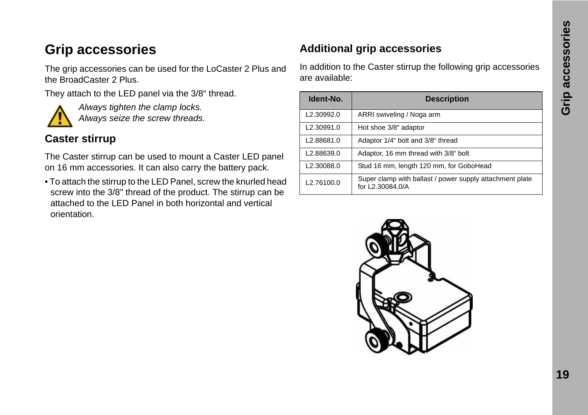### <span id="page-18-0"></span>**Grip accessories**

The grip accessories can be used for the LoCaster 2 Plus and the BroadCaster 2 Plus.

They attach to the LED panel via the 3/8" thread.



*Always tighten the clamp locks. Always seize the screw threads.*

### **Caster stirrup**

The Caster stirrup can be used to mount a Caster LED panel on 16 mm accessories. It can also carry the battery pack.

• To attach the stirrup to the LED Panel, screw the knurled head screw into the 3/8" thread of the product. The stirrup can be attached to the LED Panel in both horizontal and vertical orientation.

#### **Additional grip accessories**

In addition to the Caster stirrup the following grip accessories are available:

| Ident-No.               | <b>Description</b>                                                           |
|-------------------------|------------------------------------------------------------------------------|
| L <sub>2</sub> .30992.0 | ARRI swiveling / Noga arm                                                    |
| L2.30991.0              | Hot shoe 3/8" adaptor                                                        |
| L2.88681.0              | Adaptor 1/4" bolt and 3/8" thread                                            |
| L2.88639.0              | Adaptor, 16 mm thread with 3/8" bolt                                         |
| L2.30088.0              | Stud 16 mm, length 120 mm, for GoboHead                                      |
| L2.76100.0              | Super clamp with ballast / power supply attachment plate<br>for L2.30084.0/A |

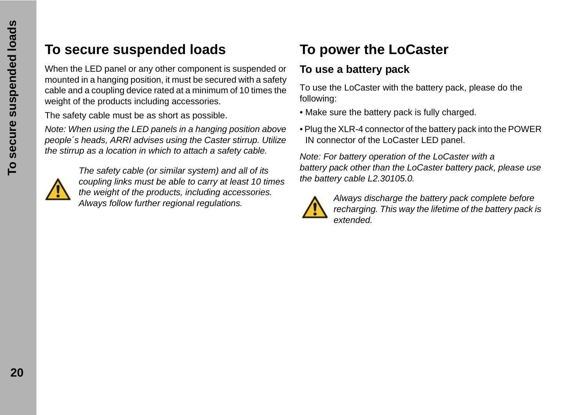### **To secure suspended loads**

When the LED panel or any other component is suspended or mounted in a hanging position, it must be secured with a safety cable and a coupling device rated at a minimum of 10 times the weight of the products including accessories.

The safety cable must be as short as possible.

*Note: When using the LED panels in a hanging position above people´s heads, ARRI advises using the Caster stirrup. Utilize the stirrup as a location in which to attach a safety cable.*



*The safety cable (or similar system) and all of its coupling links must be able to carry at least 10 times the weight of the products, including accessories. Always follow further regional regulations.*

# **To power the LoCaster**

### **To use a battery pack**

To use the LoCaster with the battery pack, please do the following:

- Make sure the battery pack is fully charged.
- Plug the XLR-4 connector of the battery pack into the POWER IN connector of the LoCaster LED panel.

*Note: For battery operation of the LoCaster with a battery pack other than the LoCaster battery pack, please use the battery cable L2.30105.0.*



*Always discharge the battery pack complete before recharging. This way the lifetime of the battery pack is extended.*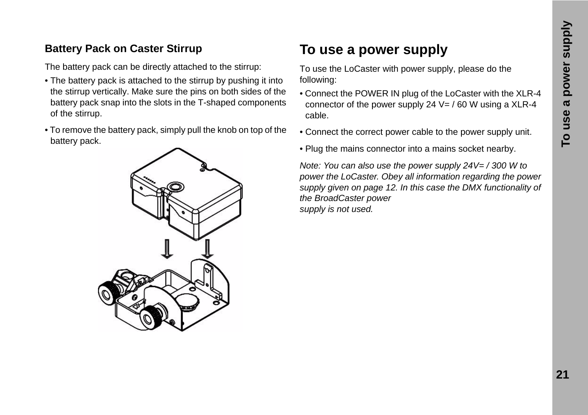### **Battery Pack on Caster Stirrup**

The battery pack can be directly attached to the stirrup:

- The battery pack is attached to the stirrup by pushing it into the stirrup vertically. Make sure the pins on both sides of the battery pack snap into the slots in the T-shaped components of the stirrup.
- To remove the battery pack, simply pull the knob on top of the battery pack.



# **To use a power supply**

To use the LoCaster with power supply, please do the following:

- Connect the POWER IN plug of the LoCaster with the XLR-4 connector of the power supply 24  $V = / 60$  W using a XLR-4 cable.
- Connect the correct power cable to the power supply unit.
- Plug the mains connector into a mains socket nearby.

*Note: You can also use the power supply 24V= / 300 W to power the LoCaster. Obey all information regarding the power supply given on [page 12](#page-11-0). In this case the DMX functionality of the BroadCaster power supply is not used.*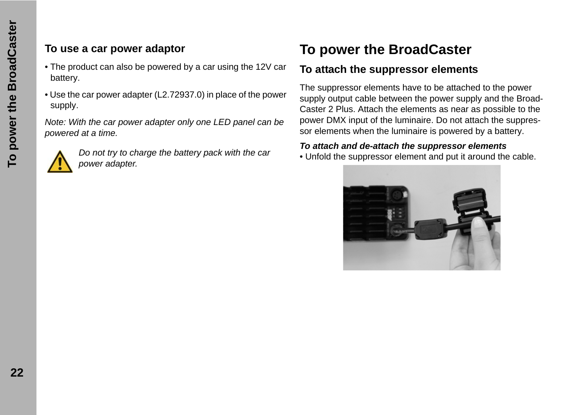### **To use a car power adaptor**

- The product can also be powered by a car using the 12V car battery.
- Use the car power adapter (L2.72937.0) in place of the power supply.

*Note: With the car power adapter only one LED panel can be powered at a time.*



*Do not try to charge the battery pack with the car power adapter.*

# **To power the BroadCaster**

### <span id="page-21-0"></span>**To attach the suppressor elements**

The suppressor elements have to be attached to the power supply output cable between the power supply and the Broad-Caster 2 Plus. Attach the elements as near as possible to the power DMX input of the luminaire. Do not attach the suppressor elements when the luminaire is powered by a battery.

#### *To attach and de-attach the suppressor elements*

• Unfold the suppressor element and put it around the cable.

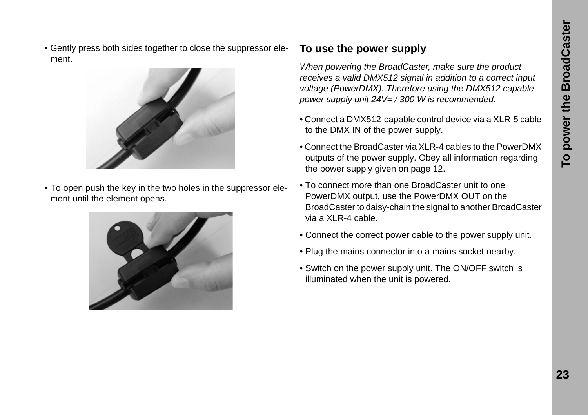• Gently press both sides together to close the suppressor element.



• To open push the key in the two holes in the suppressor element until the element opens.



#### **To use the power supply**

*When powering the BroadCaster, make sure the product receives a valid DMX512 signal in addition to a correct input voltage (PowerDMX). Therefore using the DMX512 capable power supply unit 24V= / 300 W is recommended.*

- Connect a DMX512-capable control device via a XLR-5 cable to the DMX IN of the power supply.
- Connect the BroadCaster via XLR-4 cables to the PowerDMX outputs of the power supply. Obey all information regarding the power supply given on [page 12](#page-11-0).
- To connect more than one BroadCaster unit to one PowerDMX output, use the PowerDMX OUT on the BroadCaster to daisy-chain the signal to another BroadCaster via a XLR-4 cable.
- Connect the correct power cable to the power supply unit.
- Plug the mains connector into a mains socket nearby.
- Switch on the power supply unit. The ON/OFF switch is illuminated when the unit is powered.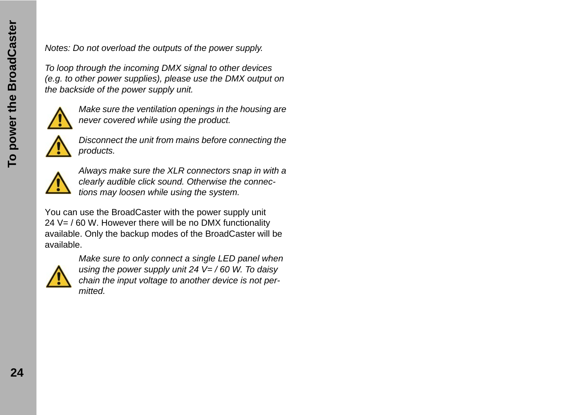*Notes: Do not overload the outputs of the power supply.*

*To loop through the incoming DMX signal to other devices (e.g. to other power supplies), please use the DMX output on the backside of the power supply unit.*



*Make sure the ventilation openings in the housing are never covered while using the product.*



*Disconnect the unit from mains before connecting the products.*



*Always make sure the XLR connectors snap in with a clearly audible click sound. Otherwise the connections may loosen while using the system.*

You can use the BroadCaster with the power supply unit 24 V= / 60 W. However there will be no DMX functionality available. Only the backup modes of the BroadCaster will be available.



*Make sure to only connect a single LED panel when using the power supply unit 24 V= / 60 W. To daisy chain the input voltage to another device is not permitted.*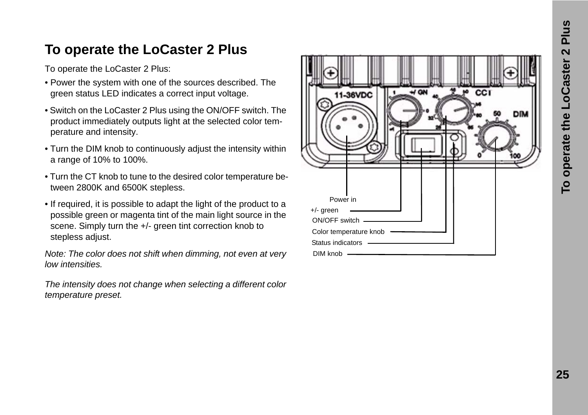### **To operate the LoCaster 2 Plus**

To operate the LoCaster 2 Plus:

- Power the system with one of the sources described. The green status LED indicates a correct input voltage.
- Switch on the LoCaster 2 Plus using the ON/OFF switch. The product immediately outputs light at the selected color temperature and intensity.
- Turn the DIM knob to continuously adjust the intensity within a range of 10% to 100%.
- Turn the CT knob to tune to the desired color temperature between 2800K and 6500K stepless.
- If required, it is possible to adapt the light of the product to a possible green or magenta tint of the main light source in the scene. Simply turn the +/- green tint correction knob to stepless adjust.

*Note: The color does not shift when dimming, not even at very low intensities.*

*The intensity does not change when selecting a different color temperature preset.*

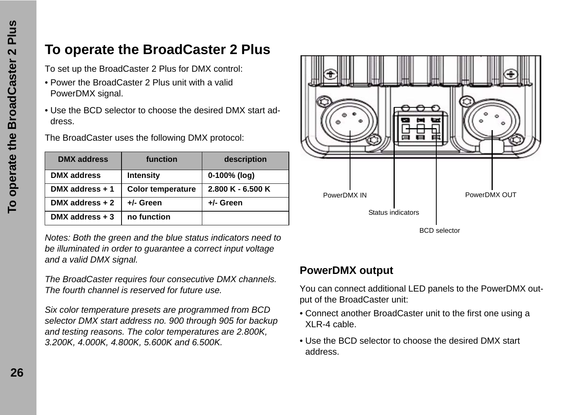### **To operate the BroadCaster 2 Plus**

To set up the BroadCaster 2 Plus for DMX control:

- Power the BroadCaster 2 Plus unit with a valid PowerDMX signal.
- Use the BCD selector to choose the desired DMX start address.

The BroadCaster uses the following DMX protocol:

| <b>DMX</b> address | function                 | description         |
|--------------------|--------------------------|---------------------|
| <b>DMX</b> address | <b>Intensity</b>         | $0-100\%$ (log)     |
| DMX address + 1    | <b>Color temperature</b> | $2.800 K - 6.500 K$ |
| DMX address $+2$   | +/- Green                | +/- Green           |
| DMX address $+3$   | no function              |                     |

*Notes: Both the green and the blue status indicators need to be illuminated in order to guarantee a correct input voltage and a valid DMX signal.*

*The BroadCaster requires four consecutive DMX channels. The fourth channel is reserved for future use.*

*Six color temperature presets are programmed from BCD selector DMX start address no. 900 through 905 for backup and testing reasons. The color temperatures are 2.800K, 3.200K, 4.000K, 4.800K, 5.600K and 6.500K.*



#### **PowerDMX output**

You can connect additional LED panels to the PowerDMX output of the BroadCaster unit:

- Connect another BroadCaster unit to the first one using a XLR-4 cable.
- Use the BCD selector to choose the desired DMX start address.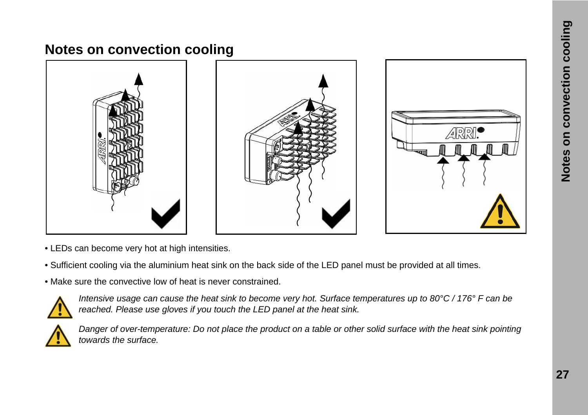### **Notes on convection cooling**







- LEDs can become very hot at high intensities.
- Sufficient cooling via the aluminium heat sink on the back side of the LED panel must be provided at all times.
- Make sure the convective low of heat is never constrained.



*Intensive usage can cause the heat sink to become very hot. Surface temperatures up to 80°C / 176° F can be reached. Please use gloves if you touch the LED panel at the heat sink.*



*Danger of over-temperature: Do not place the product on a table or other solid surface with the heat sink pointing towards the surface.*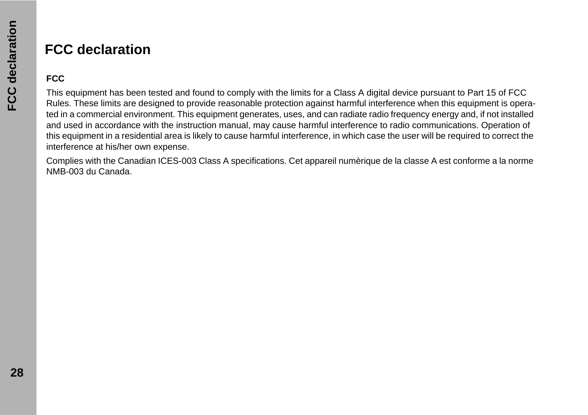### **FCC declaration**

#### **FCC**

This equipment has been tested and found to comply with the limits for a Class A digital device pursuant to Part 15 of FCC Rules. These limits are designed to provide reasonable protection against harmful interference when this equipment is operated in a commercial environment. This equipment generates, uses, and can radiate radio frequency energy and, if not installed and used in accordance with the instruction manual, may cause harmful interference to radio communications. Operation of this equipment in a residential area is likely to cause harmful interference, in which case the user will be required to correct the interference at his/her own expense.

Complies with the Canadian ICES-003 Class A specifications. Cet appareil numèrique de la classe A est conforme a la norme NMB-003 du Canada.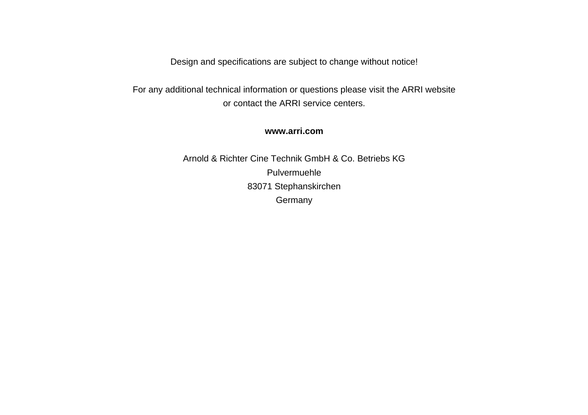Design and specifications are subject to change without notice!

For any additional technical information or questions please visit the ARRI website or contact the ARRI service centers.

#### **www.arri.com**

Arnold & Richter Cine Technik GmbH & Co. Betriebs KG Pulvermuehle 83071 Stephanskirchen Germany